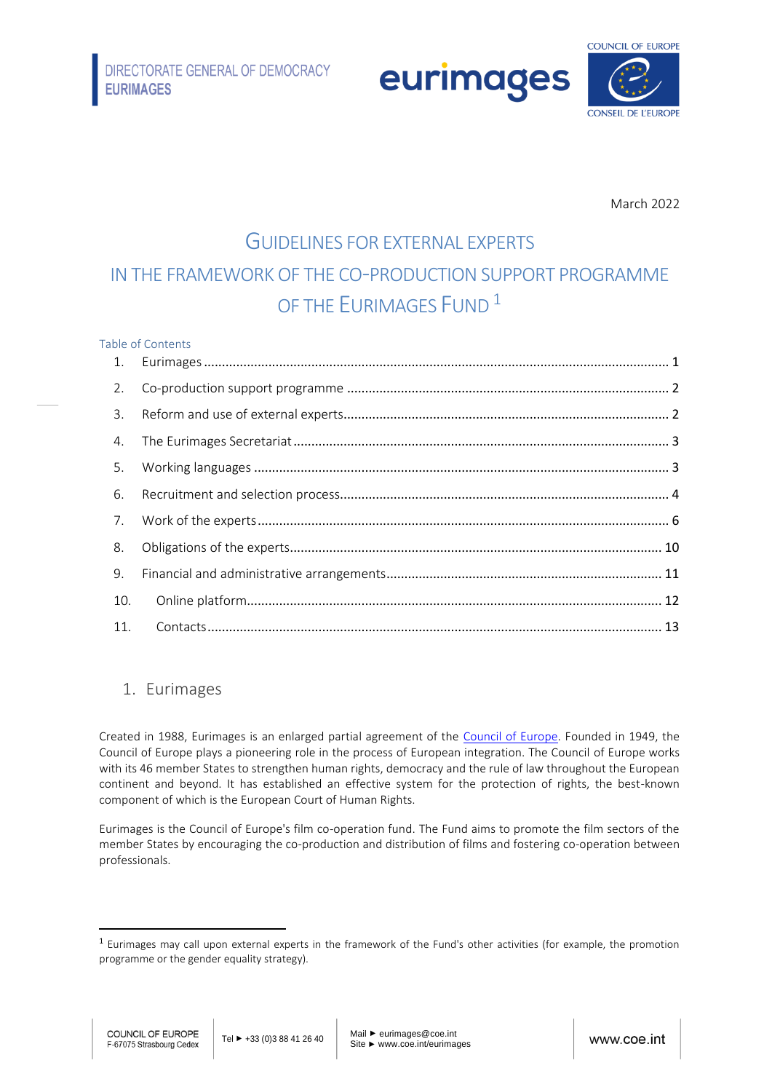eurimages



March 2022

# GUIDELINES FOR EXTERNAL EXPERTS IN THE FRAMEWORK OF THE CO-PRODUCTION SUPPORT PROGRAMME OF THE FURIMAGES FUND<sup>1</sup>

#### Table of Contents

| 2.  |  |
|-----|--|
| 3.  |  |
|     |  |
|     |  |
|     |  |
|     |  |
| 8.  |  |
| 9.  |  |
| 10. |  |
|     |  |

# <span id="page-0-0"></span>1. Eurimages

Created in 1988, Eurimages is an enlarged partial agreement of the [Council of Europe.](https://www.coe.int/en/web/portal/home) Founded in 1949, the Council of Europe plays a pioneering role in the process of European integration. The Council of Europe works with its 46 member States to strengthen human rights, democracy and the rule of law throughout the European continent and beyond. It has established an effective system for the protection of rights, the best-known component of which is the European Court of Human Rights.

Eurimages is the Council of Europe's film co-operation fund. The Fund aims to promote the film sectors of the member States by encouraging the co-production and distribution of films and fostering co-operation between professionals.

<sup>&</sup>lt;sup>1</sup> Eurimages may call upon external experts in the framework of the Fund's other activities (for example, the promotion programme or the gender equality strategy).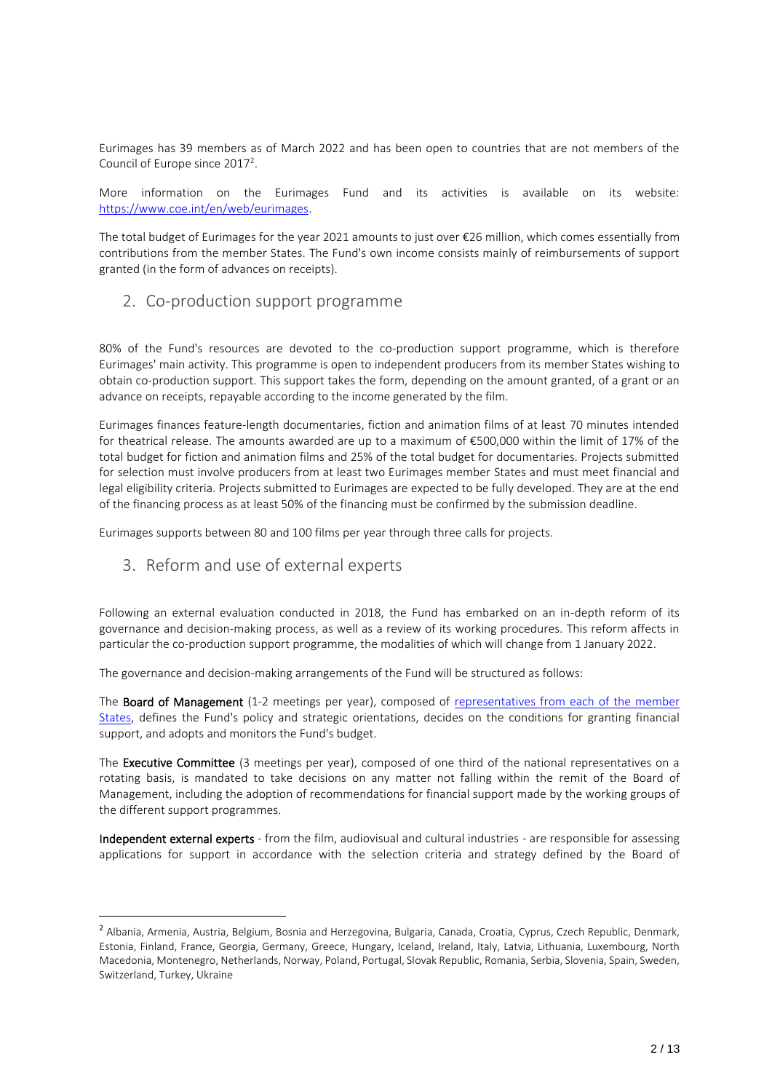Eurimages has 39 members as of March 2022 and has been open to countries that are not members of the Council of Europe since  $2017<sup>2</sup>$ .

More information on the Eurimages Fund and its activities is available on its website: [https://www.coe.int/en/web/eurimages.](https://www.coe.int/en/web/eurimages)

The total budget of Eurimages for the year 2021 amounts to just over €26 million, which comes essentially from contributions from the member States. The Fund's own income consists mainly of reimbursements of support granted (in the form of advances on receipts).

# <span id="page-1-0"></span>2. Co-production support programme

80% of the Fund's resources are devoted to the co-production support programme, which is therefore Eurimages' main activity. This programme is open to independent producers from its member States wishing to obtain co-production support. This support takes the form, depending on the amount granted, of a grant or an advance on receipts, repayable according to the income generated by the film.

Eurimages finances feature-length documentaries, fiction and animation films of at least 70 minutes intended for theatrical release. The amounts awarded are up to a maximum of €500,000 within the limit of 17% of the total budget for fiction and animation films and 25% of the total budget for documentaries. Projects submitted for selection must involve producers from at least two Eurimages member States and must meet financial and legal eligibility criteria. Projects submitted to Eurimages are expected to be fully developed. They are at the end of the financing process as at least 50% of the financing must be confirmed by the submission deadline.

Eurimages supports between 80 and 100 films per year through three calls for projects.

# <span id="page-1-1"></span>3. Reform and use of external experts

Following an external evaluation conducted in 2018, the Fund has embarked on an in-depth reform of its governance and decision-making process, as well as a review of its working procedures. This reform affects in particular the co-production support programme, the modalities of which will change from 1 January 2022.

The governance and decision-making arrangements of the Fund will be structured as follows:

The Board of Management (1-2 meetings per year), composed of representatives from each of the member [States,](https://www.coe.int/en/web/eurimages/members) defines the Fund's policy and strategic orientations, decides on the conditions for granting financial support, and adopts and monitors the Fund's budget.

The Executive Committee (3 meetings per year), composed of one third of the national representatives on a rotating basis, is mandated to take decisions on any matter not falling within the remit of the Board of Management, including the adoption of recommendations for financial support made by the working groups of the different support programmes.

Independent external experts - from the film, audiovisual and cultural industries - are responsible for assessing applications for support in accordance with the selection criteria and strategy defined by the Board of

<sup>&</sup>lt;sup>2</sup> Albania, Armenia, Austria, Belgium, Bosnia and Herzegovina, Bulgaria, Canada, Croatia, Cyprus, Czech Republic, Denmark, Estonia, Finland, France, Georgia, Germany, Greece, Hungary, Iceland, Ireland, Italy, Latvia, Lithuania, Luxembourg, North Macedonia, Montenegro, Netherlands, Norway, Poland, Portugal, Slovak Republic, Romania, Serbia, Slovenia, Spain, Sweden, Switzerland, Turkey, Ukraine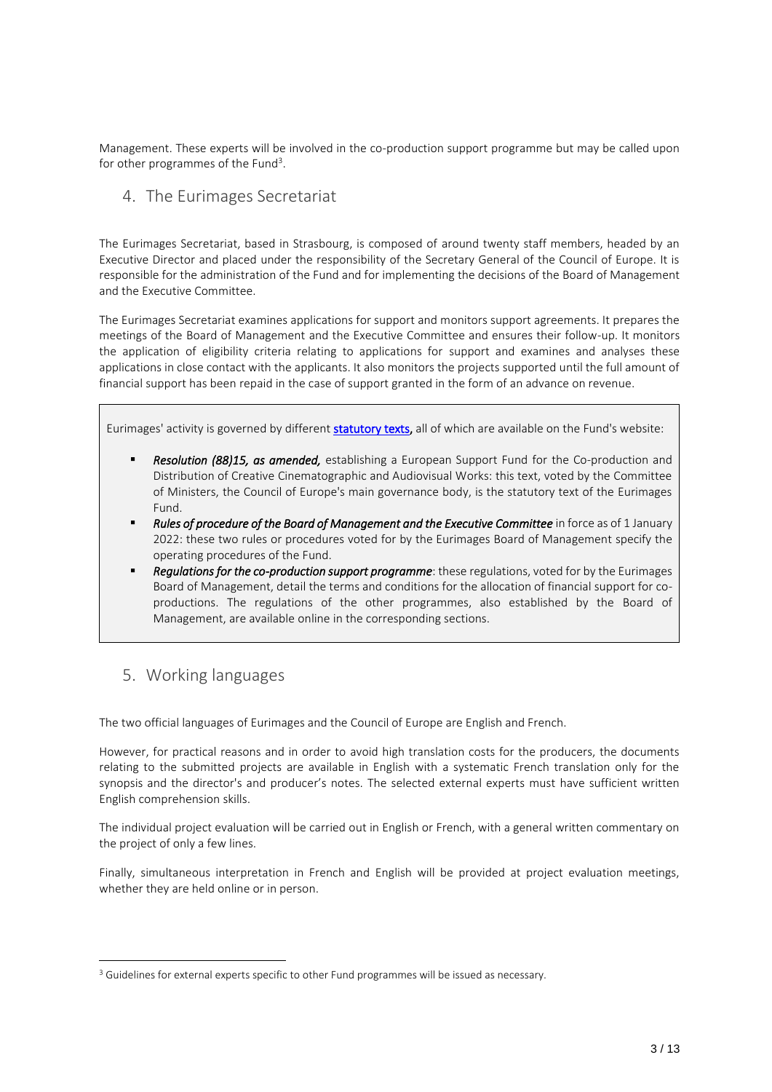Management. These experts will be involved in the co-production support programme but may be called upon for other programmes of the Fund<sup>3</sup>.

<span id="page-2-0"></span>4. The Eurimages Secretariat

The Eurimages Secretariat, based in Strasbourg, is composed of around twenty staff members, headed by an Executive Director and placed under the responsibility of the Secretary General of the Council of Europe. It is responsible for the administration of the Fund and for implementing the decisions of the Board of Management and the Executive Committee.

The Eurimages Secretariat examines applications for support and monitors support agreements. It prepares the meetings of the Board of Management and the Executive Committee and ensures their follow-up. It monitors the application of eligibility criteria relating to applications for support and examines and analyses these applications in close contact with the applicants. It also monitors the projects supported until the full amount of financial support has been repaid in the case of support granted in the form of an advance on revenue.

Eurimages' activity is governed by different [statutory texts,](https://www.coe.int/en/web/eurimages/what-we-do-) all of which are available on the Fund's website:

- Resolution (88)15, as amended, establishing a European Support Fund for the Co-production and Distribution of Creative Cinematographic and Audiovisual Works: this text, voted by the Committee of Ministers, the Council of Europe's main governance body, is the statutory text of the Eurimages Fund.
- Rules of procedure of the Board of Management and the Executive Committee in force as of 1 January 2022: these two rules or procedures voted for by the Eurimages Board of Management specify the operating procedures of the Fund.
- Regulations for the co-production support programme: these regulations, voted for by the Eurimages Board of Management, detail the terms and conditions for the allocation of financial support for coproductions. The regulations of the other programmes, also established by the Board of Management, are available online in the corresponding sections.

# <span id="page-2-1"></span>5. Working languages

The two official languages of Eurimages and the Council of Europe are English and French.

However, for practical reasons and in order to avoid high translation costs for the producers, the documents relating to the submitted projects are available in English with a systematic French translation only for the synopsis and the director's and producer's notes. The selected external experts must have sufficient written English comprehension skills.

The individual project evaluation will be carried out in English or French, with a general written commentary on the project of only a few lines.

Finally, simultaneous interpretation in French and English will be provided at project evaluation meetings, whether they are held online or in person.

<sup>&</sup>lt;sup>3</sup> Guidelines for external experts specific to other Fund programmes will be issued as necessary.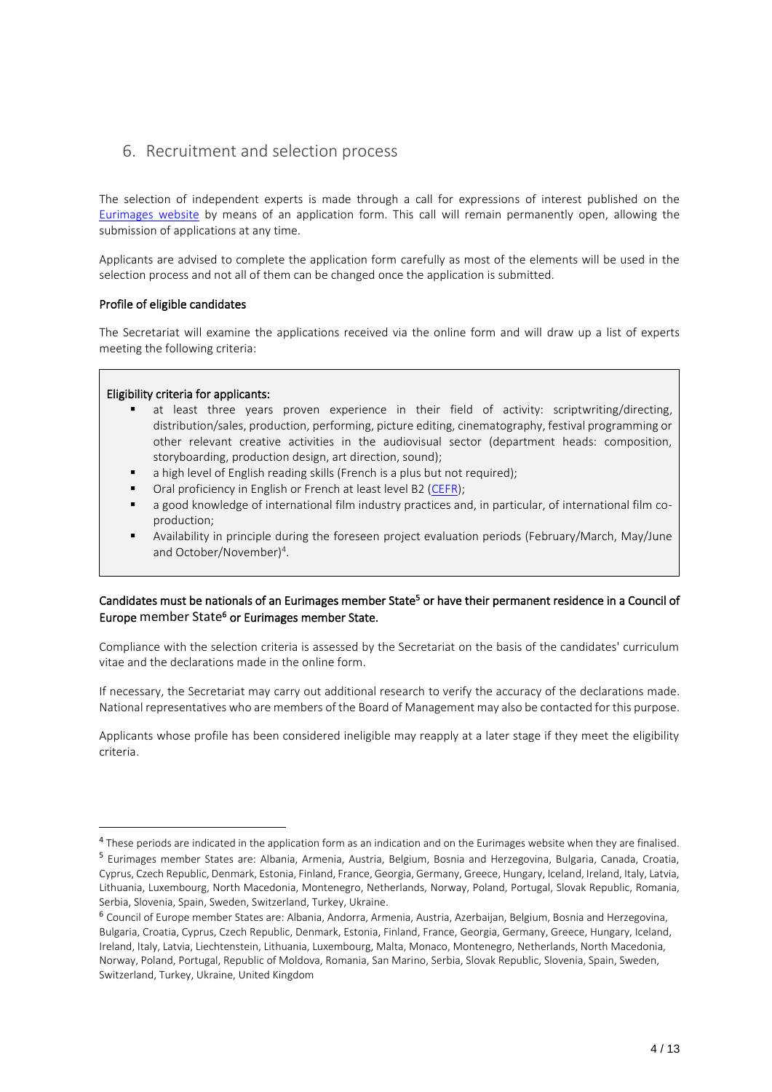# <span id="page-3-0"></span>6. Recruitment and selection process

The selection of independent experts is made through a call for expressions of interest published on the [Eurimages website](https://www.coe.int/en/web/eurimages/experts) by means of an application form. This call will remain permanently open, allowing the submission of applications at any time.

Applicants are advised to complete the application form carefully as most of the elements will be used in the selection process and not all of them can be changed once the application is submitted.

#### Profile of eligible candidates

The Secretariat will examine the applications received via the online form and will draw up a list of experts meeting the following criteria:

#### Eligibility criteria for applicants:

- at least three years proven experience in their field of activity: scriptwriting/directing, distribution/sales, production, performing, picture editing, cinematography, festival programming or other relevant creative activities in the audiovisual sector (department heads: composition, storyboarding, production design, art direction, sound);
- a high level of English reading skills (French is a plus but not required);
- Oral proficiency in English or French at least level B2 [\(CEFR\)](https://www.coe.int/fr/web/common-european-framework-reference-languages/table-1-cefr-3.3-common-reference-levels-global-scale);
- a good knowledge of international film industry practices and, in particular, of international film coproduction;
- Availability in principle during the foreseen project evaluation periods (February/March, May/June and October/November)<sup>4</sup>.

### Candidates must be nationals of an Eurimages member State<sup>5</sup> or have their permanent residence in a Council of Europe member State<sup>6</sup> or Eurimages member State.

Compliance with the selection criteria is assessed by the Secretariat on the basis of the candidates' curriculum vitae and the declarations made in the online form.

If necessary, the Secretariat may carry out additional research to verify the accuracy of the declarations made. National representatives who are members of the Board of Management may also be contacted for this purpose.

Applicants whose profile has been considered ineligible may reapply at a later stage if they meet the eligibility criteria.

 $^4$  These periods are indicated in the application form as an indication and on the Eurimages website when they are finalised.

<sup>5</sup> Eurimages member States are: Albania, Armenia, Austria, Belgium, Bosnia and Herzegovina, Bulgaria, Canada, Croatia, Cyprus, Czech Republic, Denmark, Estonia, Finland, France, Georgia, Germany, Greece, Hungary, Iceland, Ireland, Italy, Latvia, Lithuania, Luxembourg, North Macedonia, Montenegro, Netherlands, Norway, Poland, Portugal, Slovak Republic, Romania, Serbia, Slovenia, Spain, Sweden, Switzerland, Turkey, Ukraine.

<sup>6</sup> Council of Europe member States are: Albania, Andorra, Armenia, Austria, Azerbaijan, Belgium, Bosnia and Herzegovina, Bulgaria, Croatia, Cyprus, Czech Republic, Denmark, Estonia, Finland, France, Georgia, Germany, Greece, Hungary, Iceland, Ireland, Italy, Latvia, Liechtenstein, Lithuania, Luxembourg, Malta, Monaco, Montenegro, Netherlands, North Macedonia, Norway, Poland, Portugal, Republic of Moldova, Romania, San Marino, Serbia, Slovak Republic, Slovenia, Spain, Sweden, Switzerland, Turkey, Ukraine, United Kingdom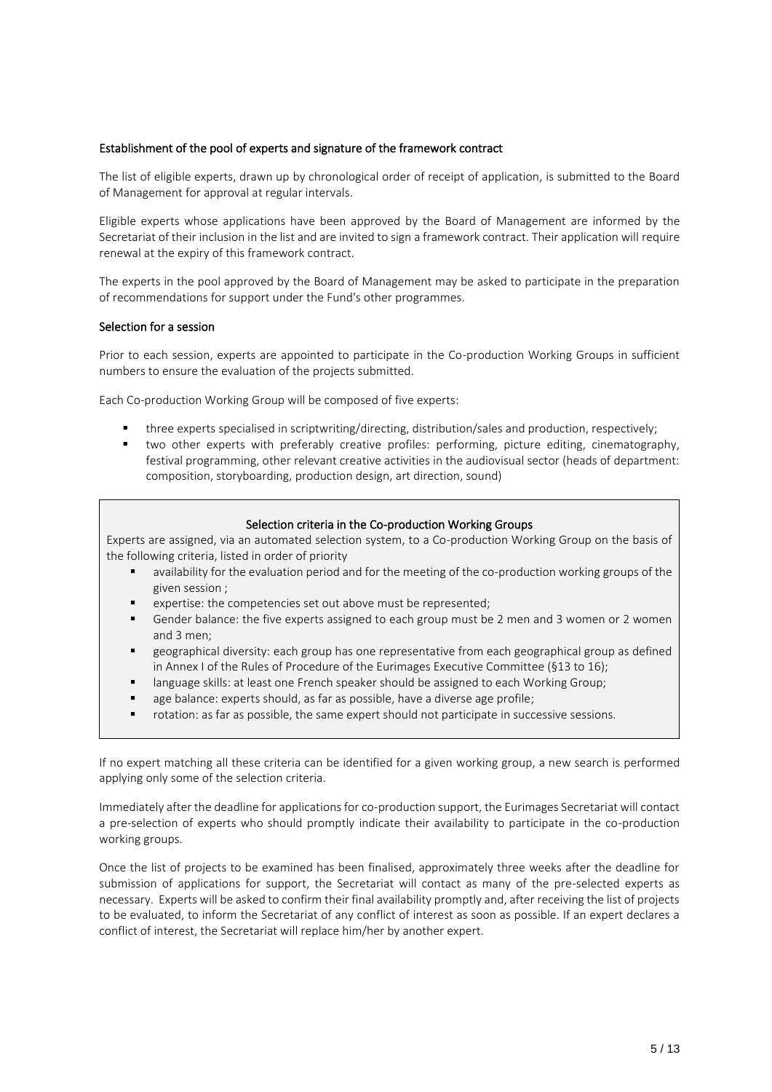#### Establishment of the pool of experts and signature of the framework contract

The list of eligible experts, drawn up by chronological order of receipt of application, is submitted to the Board of Management for approval at regular intervals.

Eligible experts whose applications have been approved by the Board of Management are informed by the Secretariat of their inclusion in the list and are invited to sign a framework contract. Their application will require renewal at the expiry of this framework contract.

The experts in the pool approved by the Board of Management may be asked to participate in the preparation of recommendations for support under the Fund's other programmes.

#### Selection for a session

Prior to each session, experts are appointed to participate in the Co-production Working Groups in sufficient numbers to ensure the evaluation of the projects submitted.

Each Co-production Working Group will be composed of five experts:

- three experts specialised in scriptwriting/directing, distribution/sales and production, respectively;
- two other experts with preferably creative profiles: performing, picture editing, cinematography, festival programming, other relevant creative activities in the audiovisual sector (heads of department: composition, storyboarding, production design, art direction, sound)

#### Selection criteria in the Co-production Working Groups

Experts are assigned, via an automated selection system, to a Co-production Working Group on the basis of the following criteria, listed in order of priority

- availability for the evaluation period and for the meeting of the co-production working groups of the given session ;
- expertise: the competencies set out above must be represented;
- Gender balance: the five experts assigned to each group must be 2 men and 3 women or 2 women and 3 men;
- geographical diversity: each group has one representative from each geographical group as defined in Annex I of the Rules of Procedure of the Eurimages Executive Committee (§13 to 16);
- language skills: at least one French speaker should be assigned to each Working Group;
- age balance: experts should, as far as possible, have a diverse age profile;
- rotation: as far as possible, the same expert should not participate in successive sessions.

If no expert matching all these criteria can be identified for a given working group, a new search is performed applying only some of the selection criteria.

Immediately after the deadline for applications for co-production support, the Eurimages Secretariat will contact a pre-selection of experts who should promptly indicate their availability to participate in the co-production working groups.

Once the list of projects to be examined has been finalised, approximately three weeks after the deadline for submission of applications for support, the Secretariat will contact as many of the pre-selected experts as necessary. Experts will be asked to confirm their final availability promptly and, after receiving the list of projects to be evaluated, to inform the Secretariat of any conflict of interest as soon as possible. If an expert declares a conflict of interest, the Secretariat will replace him/her by another expert.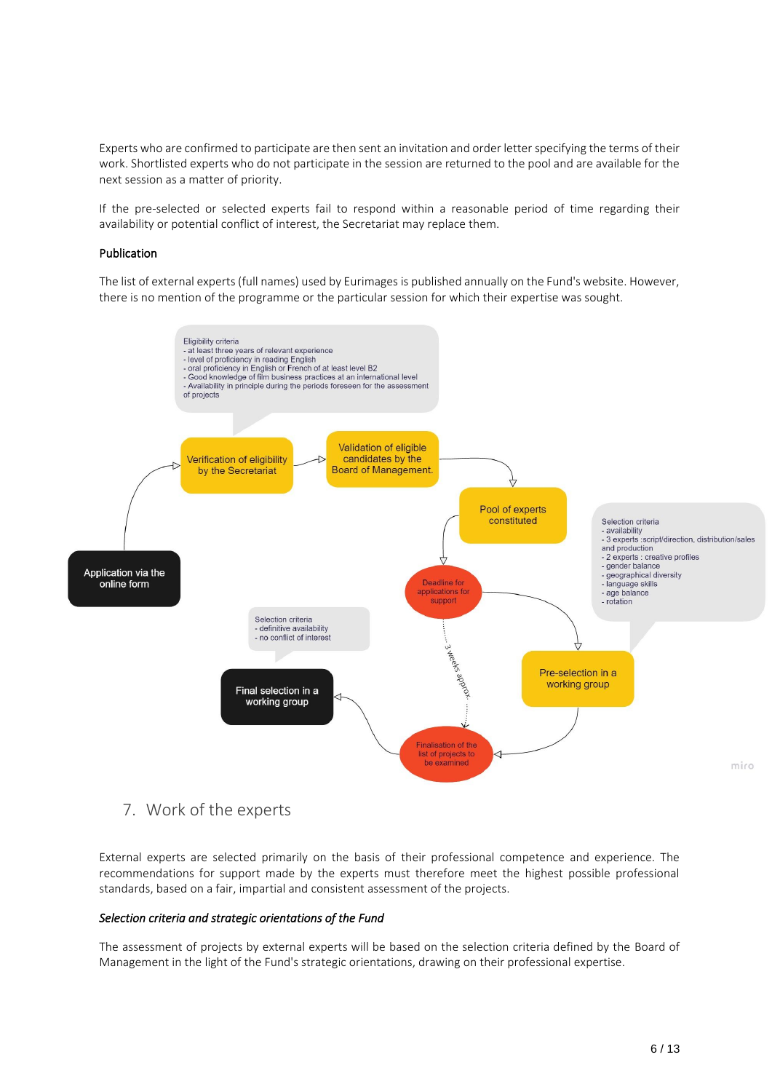Experts who are confirmed to participate are then sent an invitation and order letter specifying the terms of their work. Shortlisted experts who do not participate in the session are returned to the pool and are available for the next session as a matter of priority.

If the pre-selected or selected experts fail to respond within a reasonable period of time regarding their availability or potential conflict of interest, the Secretariat may replace them.

#### Publication

The list of external experts (full names) used by Eurimages is published annually on the Fund's website. However, there is no mention of the programme or the particular session for which their expertise was sought.



# <span id="page-5-0"></span>7. Work of the experts

External experts are selected primarily on the basis of their professional competence and experience. The recommendations for support made by the experts must therefore meet the highest possible professional standards, based on a fair, impartial and consistent assessment of the projects.

#### *Selection criteria and strategic orientations of the Fund*

The assessment of projects by external experts will be based on the selection criteria defined by the Board of Management in the light of the Fund's strategic orientations, drawing on their professional expertise.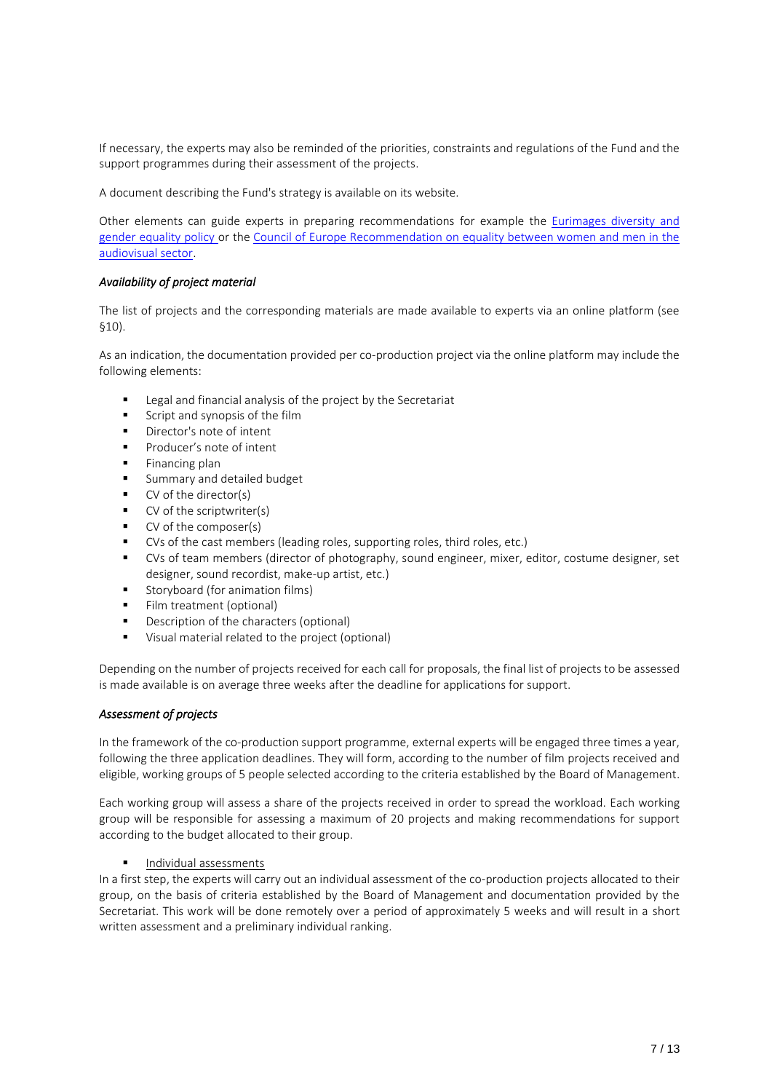If necessary, the experts may also be reminded of the priorities, constraints and regulations of the Fund and the support programmes during their assessment of the projects.

A document describing the Fund's strategy is available on its website.

Other elements can guide experts in preparing recommendations for example the [Eurimages diversity and](https://www.coe.int/fr/web/eurimages/gender-equality)  [gender equality policy o](https://www.coe.int/fr/web/eurimages/gender-equality)r the [Council of Europe Recommendation on equality between women and men in the](https://search.coe.int/cm/Pages/result_details.aspx?ObjectId=0900001680750a54)  [audiovisual sector.](https://search.coe.int/cm/Pages/result_details.aspx?ObjectId=0900001680750a54)

#### *Availability of project material*

The list of projects and the corresponding materials are made available to experts via an online platform (see §10).

As an indication, the documentation provided per co-production project via the online platform may include the following elements:

- Legal and financial analysis of the project by the Secretariat
- Script and synopsis of the film
- Director's note of intent
- Producer's note of intent
- Financing plan
- Summary and detailed budget
- CV of the director(s)
- CV of the scriptwriter(s)
- CV of the composer(s)
- CVs of the cast members (leading roles, supporting roles, third roles, etc.)
- CVs of team members (director of photography, sound engineer, mixer, editor, costume designer, set designer, sound recordist, make-up artist, etc.)
- Storyboard (for animation films)
- **·** Film treatment (optional)
- Description of the characters (optional)
- Visual material related to the project (optional)

Depending on the number of projects received for each call for proposals, the final list of projects to be assessed is made available is on average three weeks after the deadline for applications for support.

#### *Assessment of projects*

In the framework of the co-production support programme, external experts will be engaged three times a year, following the three application deadlines. They will form, according to the number of film projects received and eligible, working groups of 5 people selected according to the criteria established by the Board of Management.

Each working group will assess a share of the projects received in order to spread the workload. Each working group will be responsible for assessing a maximum of 20 projects and making recommendations for support according to the budget allocated to their group.

#### Individual assessments

In a first step, the experts will carry out an individual assessment of the co-production projects allocated to their group, on the basis of criteria established by the Board of Management and documentation provided by the Secretariat. This work will be done remotely over a period of approximately 5 weeks and will result in a short written assessment and a preliminary individual ranking.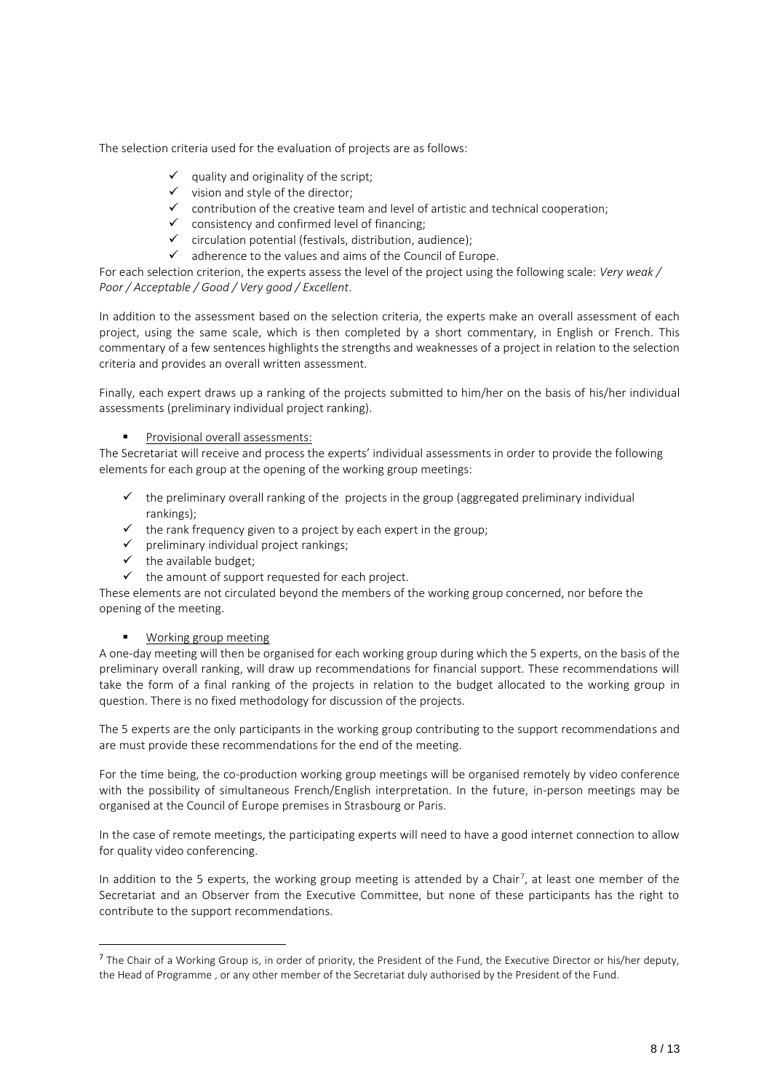The selection criteria used for the evaluation of projects are as follows:

- $\checkmark$  quality and originality of the script;
- $\checkmark$  vision and style of the director;
- $\checkmark$  contribution of the creative team and level of artistic and technical cooperation;
- ✓ consistency and confirmed level of financing;
- $\checkmark$  circulation potential (festivals, distribution, audience);<br> $\checkmark$  adherence to the values and aims of the Council of Fur
- adherence to the values and aims of the Council of Europe.

For each selection criterion, the experts assess the level of the project using the following scale: *Very weak / Poor / Acceptable / Good / Very good / Excellent*.

In addition to the assessment based on the selection criteria, the experts make an overall assessment of each project, using the same scale, which is then completed by a short commentary, in English or French. This commentary of a few sentences highlights the strengths and weaknesses of a project in relation to the selection criteria and provides an overall written assessment.

Finally, each expert draws up a ranking of the projects submitted to him/her on the basis of his/her individual assessments (preliminary individual project ranking).

#### Provisional overall assessments:

The Secretariat will receive and process the experts' individual assessments in order to provide the following elements for each group at the opening of the working group meetings:

- $\checkmark$  the preliminary overall ranking of the projects in the group (aggregated preliminary individual rankings);
- $\checkmark$  the rank frequency given to a project by each expert in the group;
- ✓ preliminary individual project rankings;
- ✓ the available budget;
- $\checkmark$  the amount of support requested for each project.

These elements are not circulated beyond the members of the working group concerned, nor before the opening of the meeting.

#### Working group meeting

A one-day meeting will then be organised for each working group during which the 5 experts, on the basis of the preliminary overall ranking, will draw up recommendations for financial support. These recommendations will take the form of a final ranking of the projects in relation to the budget allocated to the working group in question. There is no fixed methodology for discussion of the projects.

The 5 experts are the only participants in the working group contributing to the support recommendations and are must provide these recommendations for the end of the meeting.

For the time being, the co-production working group meetings will be organised remotely by video conference with the possibility of simultaneous French/English interpretation. In the future, in-person meetings may be organised at the Council of Europe premises in Strasbourg or Paris.

In the case of remote meetings, the participating experts will need to have a good internet connection to allow for quality video conferencing.

In addition to the 5 experts, the working group meeting is attended by a Chair<sup>7</sup>, at least one member of the Secretariat and an Observer from the Executive Committee, but none of these participants has the right to contribute to the support recommendations.

<sup>&</sup>lt;sup>7</sup> The Chair of a Working Group is, in order of priority, the President of the Fund, the Executive Director or his/her deputy, the Head of Programme , or any other member of the Secretariat duly authorised by the President of the Fund.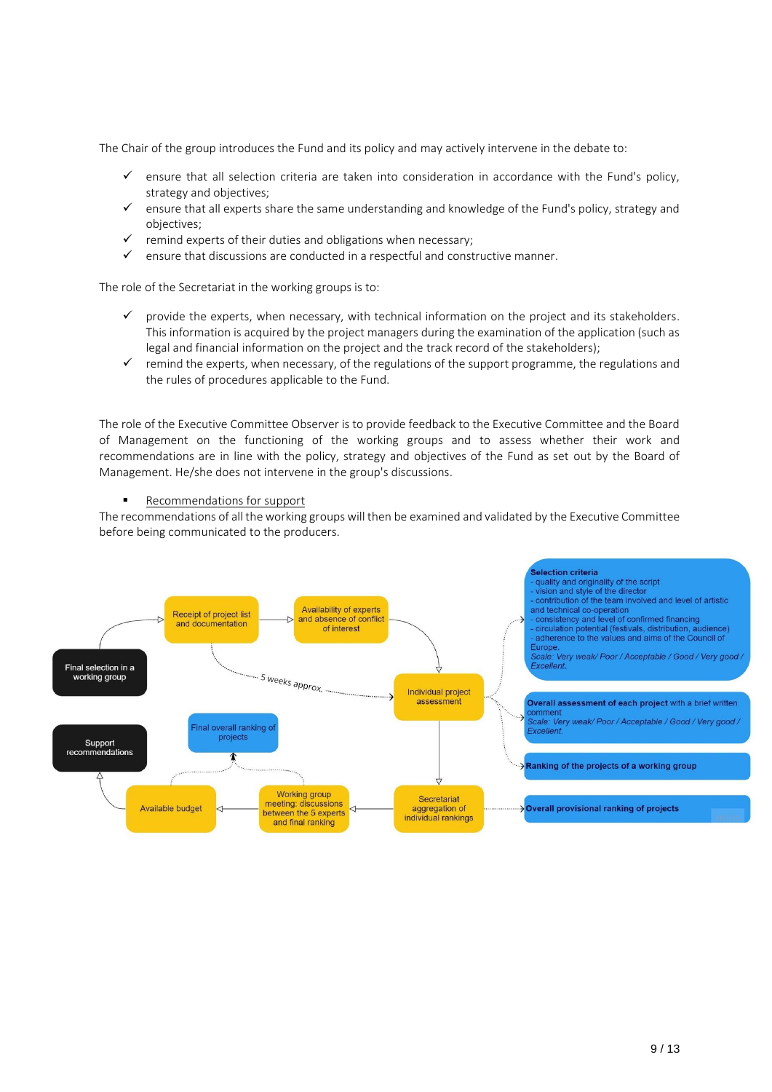The Chair of the group introduces the Fund and its policy and may actively intervene in the debate to:

- ensure that all selection criteria are taken into consideration in accordance with the Fund's policy, strategy and objectives;
- $\checkmark$  ensure that all experts share the same understanding and knowledge of the Fund's policy, strategy and objectives;
- remind experts of their duties and obligations when necessary;
- ensure that discussions are conducted in a respectful and constructive manner.

The role of the Secretariat in the working groups is to:

- provide the experts, when necessary, with technical information on the project and its stakeholders. This information is acquired by the project managers during the examination of the application (such as legal and financial information on the project and the track record of the stakeholders);
- $\checkmark$  remind the experts, when necessary, of the regulations of the support programme, the regulations and the rules of procedures applicable to the Fund.

The role of the Executive Committee Observer is to provide feedback to the Executive Committee and the Board of Management on the functioning of the working groups and to assess whether their work and recommendations are in line with the policy, strategy and objectives of the Fund as set out by the Board of Management. He/she does not intervene in the group's discussions.

#### Recommendations for support

The recommendations of all the working groups will then be examined and validated by the Executive Committee before being communicated to the producers.

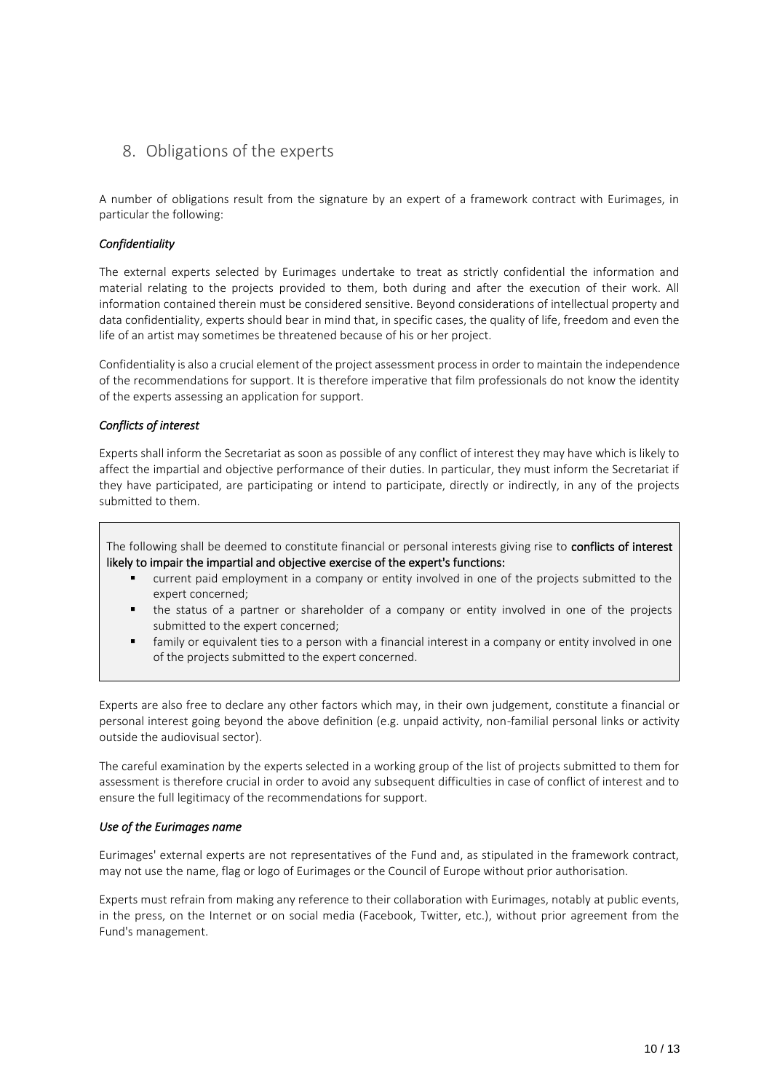# <span id="page-9-0"></span>8. Obligations of the experts

A number of obligations result from the signature by an expert of a framework contract with Eurimages, in particular the following:

#### *Confidentiality*

The external experts selected by Eurimages undertake to treat as strictly confidential the information and material relating to the projects provided to them, both during and after the execution of their work. All information contained therein must be considered sensitive. Beyond considerations of intellectual property and data confidentiality, experts should bear in mind that, in specific cases, the quality of life, freedom and even the life of an artist may sometimes be threatened because of his or her project.

Confidentiality is also a crucial element of the project assessment process in order to maintain the independence of the recommendations for support. It is therefore imperative that film professionals do not know the identity of the experts assessing an application for support.

#### *Conflicts of interest*

Experts shall inform the Secretariat as soon as possible of any conflict of interest they may have which is likely to affect the impartial and objective performance of their duties. In particular, they must inform the Secretariat if they have participated, are participating or intend to participate, directly or indirectly, in any of the projects submitted to them.

The following shall be deemed to constitute financial or personal interests giving rise to conflicts of interest likely to impair the impartial and objective exercise of the expert's functions:

- current paid employment in a company or entity involved in one of the projects submitted to the expert concerned;
- the status of a partner or shareholder of a company or entity involved in one of the projects submitted to the expert concerned;
- family or equivalent ties to a person with a financial interest in a company or entity involved in one of the projects submitted to the expert concerned.

Experts are also free to declare any other factors which may, in their own judgement, constitute a financial or personal interest going beyond the above definition (e.g. unpaid activity, non-familial personal links or activity outside the audiovisual sector).

The careful examination by the experts selected in a working group of the list of projects submitted to them for assessment is therefore crucial in order to avoid any subsequent difficulties in case of conflict of interest and to ensure the full legitimacy of the recommendations for support.

#### *Use of the Eurimages name*

Eurimages' external experts are not representatives of the Fund and, as stipulated in the framework contract, may not use the name, flag or logo of Eurimages or the Council of Europe without prior authorisation.

Experts must refrain from making any reference to their collaboration with Eurimages, notably at public events, in the press, on the Internet or on social media (Facebook, Twitter, etc.), without prior agreement from the Fund's management.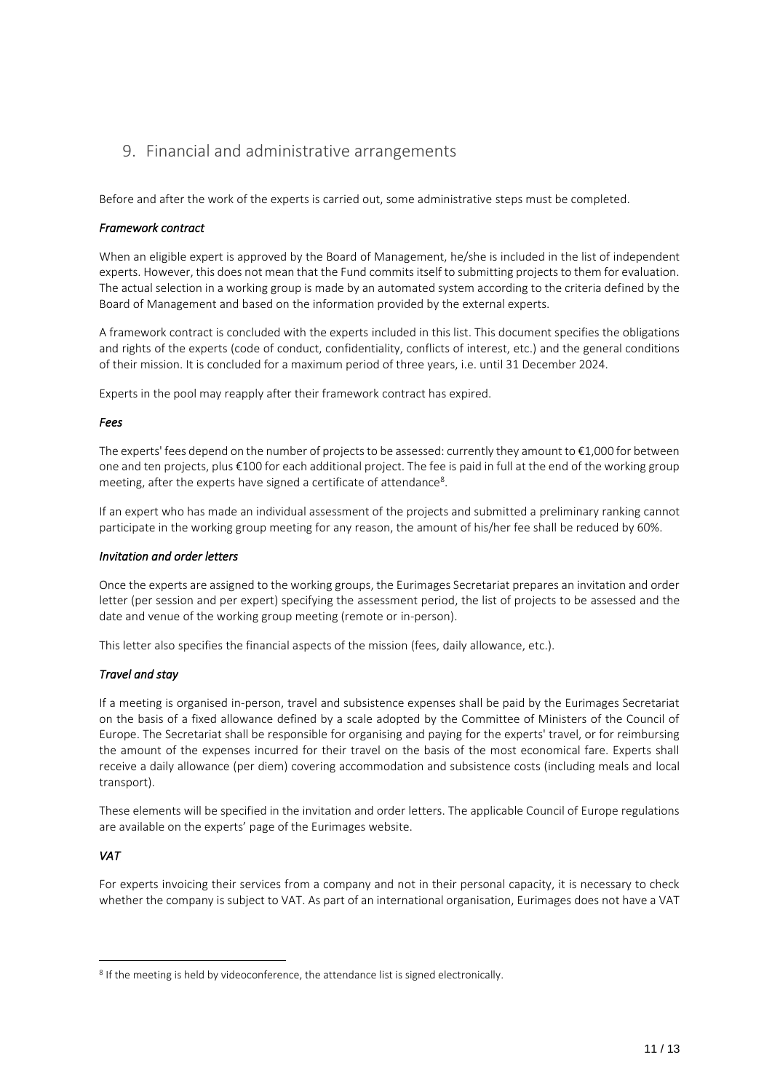# <span id="page-10-0"></span>9. Financial and administrative arrangements

Before and after the work of the experts is carried out, some administrative steps must be completed.

#### *Framework contract*

When an eligible expert is approved by the Board of Management, he/she is included in the list of independent experts. However, this does not mean that the Fund commits itself to submitting projects to them for evaluation. The actual selection in a working group is made by an automated system according to the criteria defined by the Board of Management and based on the information provided by the external experts.

A framework contract is concluded with the experts included in this list. This document specifies the obligations and rights of the experts (code of conduct, confidentiality, conflicts of interest, etc.) and the general conditions of their mission. It is concluded for a maximum period of three years, i.e. until 31 December 2024.

Experts in the pool may reapply after their framework contract has expired.

#### *Fees*

The experts' fees depend on the number of projects to be assessed: currently they amount to €1,000 for between one and ten projects, plus €100 for each additional project. The fee is paid in full at the end of the working group meeting, after the experts have signed a certificate of attendance<sup>8</sup>.

If an expert who has made an individual assessment of the projects and submitted a preliminary ranking cannot participate in the working group meeting for any reason, the amount of his/her fee shall be reduced by 60%.

#### *Invitation and order letters*

Once the experts are assigned to the working groups, the Eurimages Secretariat prepares an invitation and order letter (per session and per expert) specifying the assessment period, the list of projects to be assessed and the date and venue of the working group meeting (remote or in-person).

This letter also specifies the financial aspects of the mission (fees, daily allowance, etc.).

#### *Travel and stay*

If a meeting is organised in-person, travel and subsistence expenses shall be paid by the Eurimages Secretariat on the basis of a fixed allowance defined by a scale adopted by the Committee of Ministers of the Council of Europe. The Secretariat shall be responsible for organising and paying for the experts' travel, or for reimbursing the amount of the expenses incurred for their travel on the basis of the most economical fare. Experts shall receive a daily allowance (per diem) covering accommodation and subsistence costs (including meals and local transport).

These elements will be specified in the invitation and order letters. The applicable Council of Europe regulations are available on the experts' page of the Eurimages website.

#### *VAT*

For experts invoicing their services from a company and not in their personal capacity, it is necessary to check whether the company is subject to VAT. As part of an international organisation, Eurimages does not have a VAT

<sup>&</sup>lt;sup>8</sup> If the meeting is held by videoconference, the attendance list is signed electronically.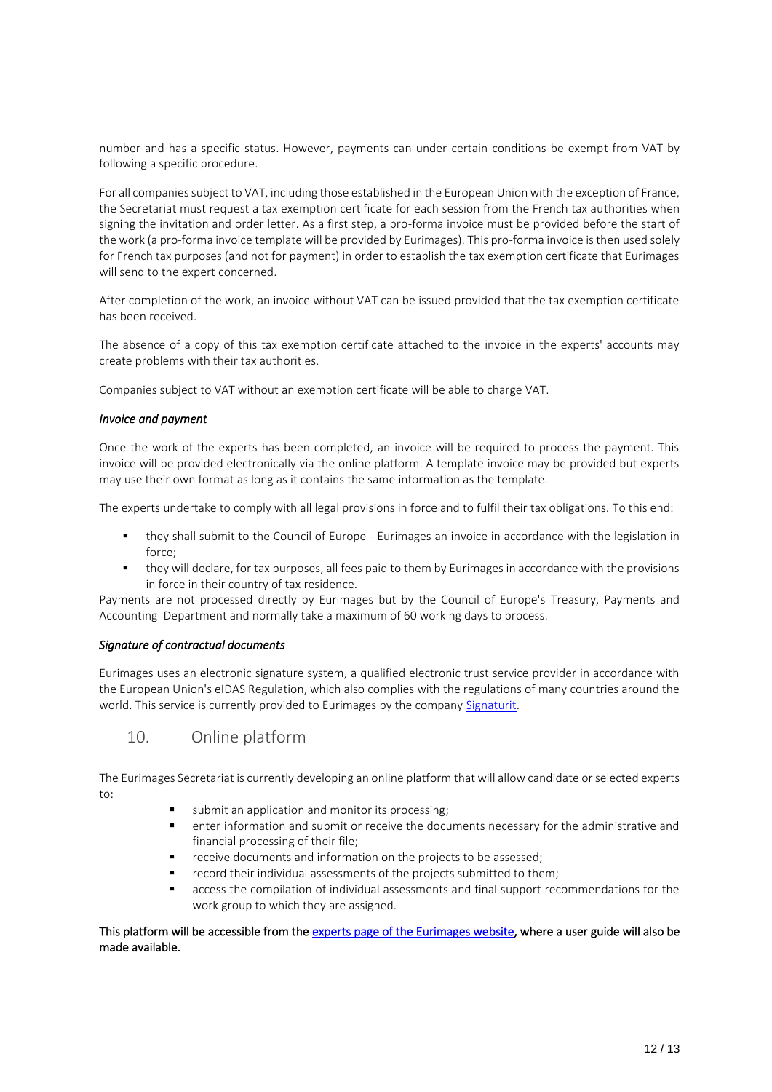number and has a specific status. However, payments can under certain conditions be exempt from VAT by following a specific procedure.

For all companies subject to VAT, including those established in the European Union with the exception of France, the Secretariat must request a tax exemption certificate for each session from the French tax authorities when signing the invitation and order letter. As a first step, a pro-forma invoice must be provided before the start of the work (a pro-forma invoice template will be provided by Eurimages). This pro-forma invoice is then used solely for French tax purposes (and not for payment) in order to establish the tax exemption certificate that Eurimages will send to the expert concerned.

After completion of the work, an invoice without VAT can be issued provided that the tax exemption certificate has been received.

The absence of a copy of this tax exemption certificate attached to the invoice in the experts' accounts may create problems with their tax authorities.

Companies subject to VAT without an exemption certificate will be able to charge VAT.

#### *Invoice and payment*

Once the work of the experts has been completed, an invoice will be required to process the payment. This invoice will be provided electronically via the online platform. A template invoice may be provided but experts may use their own format as long as it contains the same information as the template.

The experts undertake to comply with all legal provisions in force and to fulfil their tax obligations. To this end:

- they shall submit to the Council of Europe Eurimages an invoice in accordance with the legislation in force;
- they will declare, for tax purposes, all fees paid to them by Eurimages in accordance with the provisions in force in their country of tax residence.

Payments are not processed directly by Eurimages but by the Council of Europe's Treasury, Payments and Accounting Department and normally take a maximum of 60 working days to process.

#### *Signature of contractual documents*

Eurimages uses an electronic signature system, a qualified electronic trust service provider in accordance with the European Union's eIDAS Regulation, which also complies with the regulations of many countries around the world. This service is currently provided to Eurimages by the compan[y Signaturit.](https://www.signaturit.com/)

# <span id="page-11-0"></span>10. Online platform

The Eurimages Secretariat is currently developing an online platform that will allow candidate or selected experts to:

- submit an application and monitor its processing;
- enter information and submit or receive the documents necessary for the administrative and financial processing of their file;
- receive documents and information on the projects to be assessed;
- record their individual assessments of the projects submitted to them;
- **■** access the compilation of individual assessments and final support recommendations for the work group to which they are assigned.

#### This platform will be accessible from th[e experts page of the Eurimages website,](https://www.coe.int/en/web/eurimages/experts) where a user guide will also be made available.